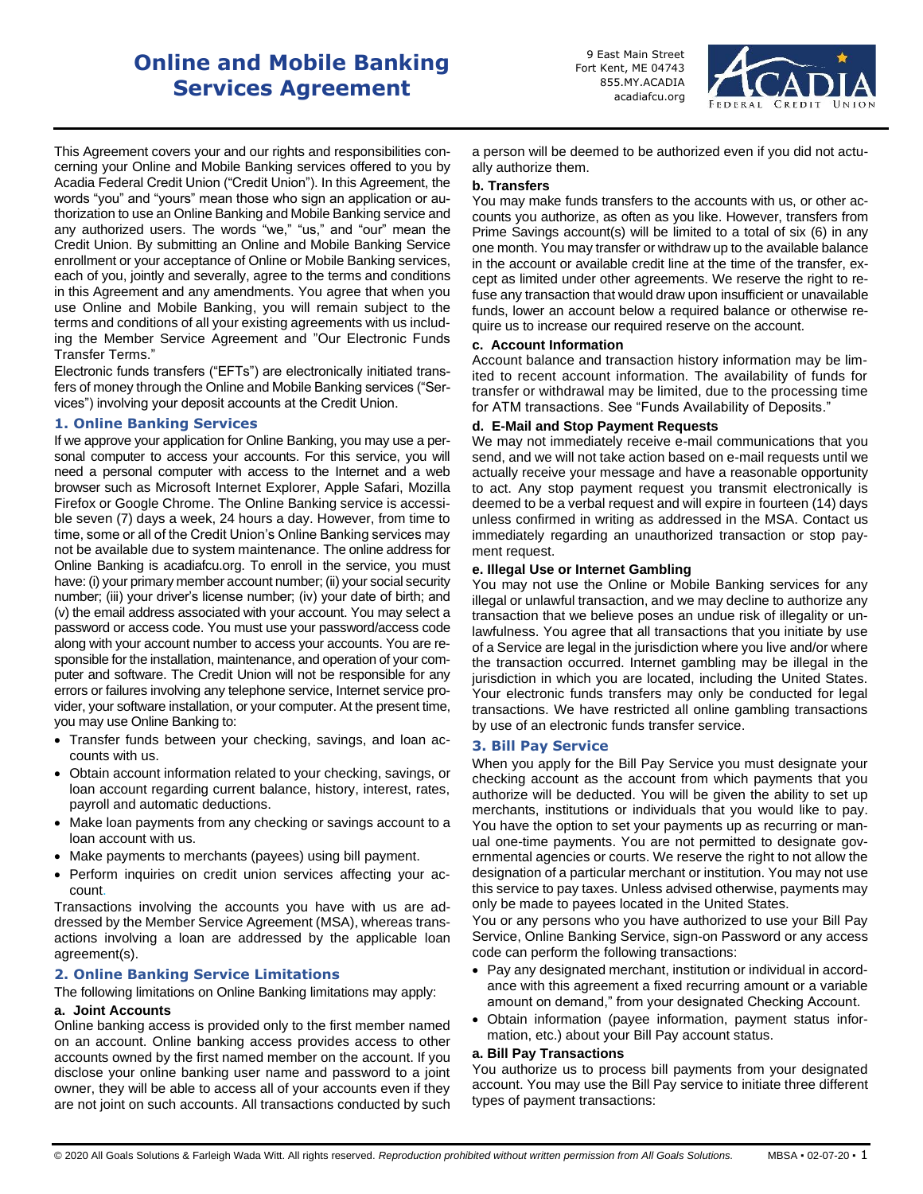# **Online and Mobile Banking Services Agreement**

9 East Main Street Fort Kent, ME 04743 855.MY.ACADIA acadiafcu.org



This Agreement covers your and our rights and responsibilities concerning your Online and Mobile Banking services offered to you by Acadia Federal Credit Union ("Credit Union"). In this Agreement, the words "you" and "yours" mean those who sign an application or authorization to use an Online Banking and Mobile Banking service and any authorized users. The words "we," "us," and "our" mean the Credit Union. By submitting an Online and Mobile Banking Service enrollment or your acceptance of Online or Mobile Banking services, each of you, jointly and severally, agree to the terms and conditions in this Agreement and any amendments. You agree that when you use Online and Mobile Banking, you will remain subject to the terms and conditions of all your existing agreements with us including the Member Service Agreement and "Our Electronic Funds Transfer Terms."

Electronic funds transfers ("EFTs") are electronically initiated transfers of money through the Online and Mobile Banking services ("Services") involving your deposit accounts at the Credit Union.

# **1. Online Banking Services**

If we approve your application for Online Banking, you may use a personal computer to access your accounts. For this service, you will need a personal computer with access to the Internet and a web browser such as Microsoft Internet Explorer, Apple Safari, Mozilla Firefox or Google Chrome. The Online Banking service is accessible seven (7) days a week, 24 hours a day. However, from time to time, some or all of the Credit Union's Online Banking services may not be available due to system maintenance. The online address for Online Banking is acadiafcu.org. To enroll in the service, you must have: (i) your primary member account number; (ii) your social security number; (iii) your driver's license number; (iv) your date of birth; and (v) the email address associated with your account. You may select a password or access code. You must use your password/access code along with your account number to access your accounts. You are responsible for the installation, maintenance, and operation of your computer and software. The Credit Union will not be responsible for any errors or failures involving any telephone service, Internet service provider, your software installation, or your computer. At the present time, you may use Online Banking to:

- Transfer funds between your checking, savings, and loan accounts with us.
- Obtain account information related to your checking, savings, or loan account regarding current balance, history, interest, rates, payroll and automatic deductions.
- Make loan payments from any checking or savings account to a loan account with us.
- Make payments to merchants (payees) using bill payment.
- Perform inquiries on credit union services affecting your account.

Transactions involving the accounts you have with us are addressed by the Member Service Agreement (MSA), whereas transactions involving a loan are addressed by the applicable loan agreement(s).

# **2. Online Banking Service Limitations**

The following limitations on Online Banking limitations may apply:

# **a. Joint Accounts**

Online banking access is provided only to the first member named on an account. Online banking access provides access to other accounts owned by the first named member on the account. If you disclose your online banking user name and password to a joint owner, they will be able to access all of your accounts even if they are not joint on such accounts. All transactions conducted by such a person will be deemed to be authorized even if you did not actually authorize them.

#### **b. Transfers**

You may make funds transfers to the accounts with us, or other accounts you authorize, as often as you like. However, transfers from Prime Savings account(s) will be limited to a total of six (6) in any one month. You may transfer or withdraw up to the available balance in the account or available credit line at the time of the transfer, except as limited under other agreements. We reserve the right to refuse any transaction that would draw upon insufficient or unavailable funds, lower an account below a required balance or otherwise require us to increase our required reserve on the account.

#### **c. Account Information**

Account balance and transaction history information may be limited to recent account information. The availability of funds for transfer or withdrawal may be limited, due to the processing time for ATM transactions. See "Funds Availability of Deposits."

# **d. E-Mail and Stop Payment Requests**

We may not immediately receive e-mail communications that you send, and we will not take action based on e-mail requests until we actually receive your message and have a reasonable opportunity to act. Any stop payment request you transmit electronically is deemed to be a verbal request and will expire in fourteen (14) days unless confirmed in writing as addressed in the MSA. Contact us immediately regarding an unauthorized transaction or stop payment request.

#### **e. Illegal Use or Internet Gambling**

You may not use the Online or Mobile Banking services for any illegal or unlawful transaction, and we may decline to authorize any transaction that we believe poses an undue risk of illegality or unlawfulness. You agree that all transactions that you initiate by use of a Service are legal in the jurisdiction where you live and/or where the transaction occurred. Internet gambling may be illegal in the jurisdiction in which you are located, including the United States. Your electronic funds transfers may only be conducted for legal transactions. We have restricted all online gambling transactions by use of an electronic funds transfer service.

#### **3. Bill Pay Service**

When you apply for the Bill Pay Service you must designate your checking account as the account from which payments that you authorize will be deducted. You will be given the ability to set up merchants, institutions or individuals that you would like to pay. You have the option to set your payments up as recurring or manual one-time payments. You are not permitted to designate governmental agencies or courts. We reserve the right to not allow the designation of a particular merchant or institution. You may not use this service to pay taxes. Unless advised otherwise, payments may only be made to payees located in the United States.

You or any persons who you have authorized to use your Bill Pay Service, Online Banking Service, sign-on Password or any access code can perform the following transactions:

- Pay any designated merchant, institution or individual in accordance with this agreement a fixed recurring amount or a variable amount on demand," from your designated Checking Account.
- Obtain information (payee information, payment status information, etc.) about your Bill Pay account status.

#### **a. Bill Pay Transactions**

You authorize us to process bill payments from your designated account. You may use the Bill Pay service to initiate three different types of payment transactions: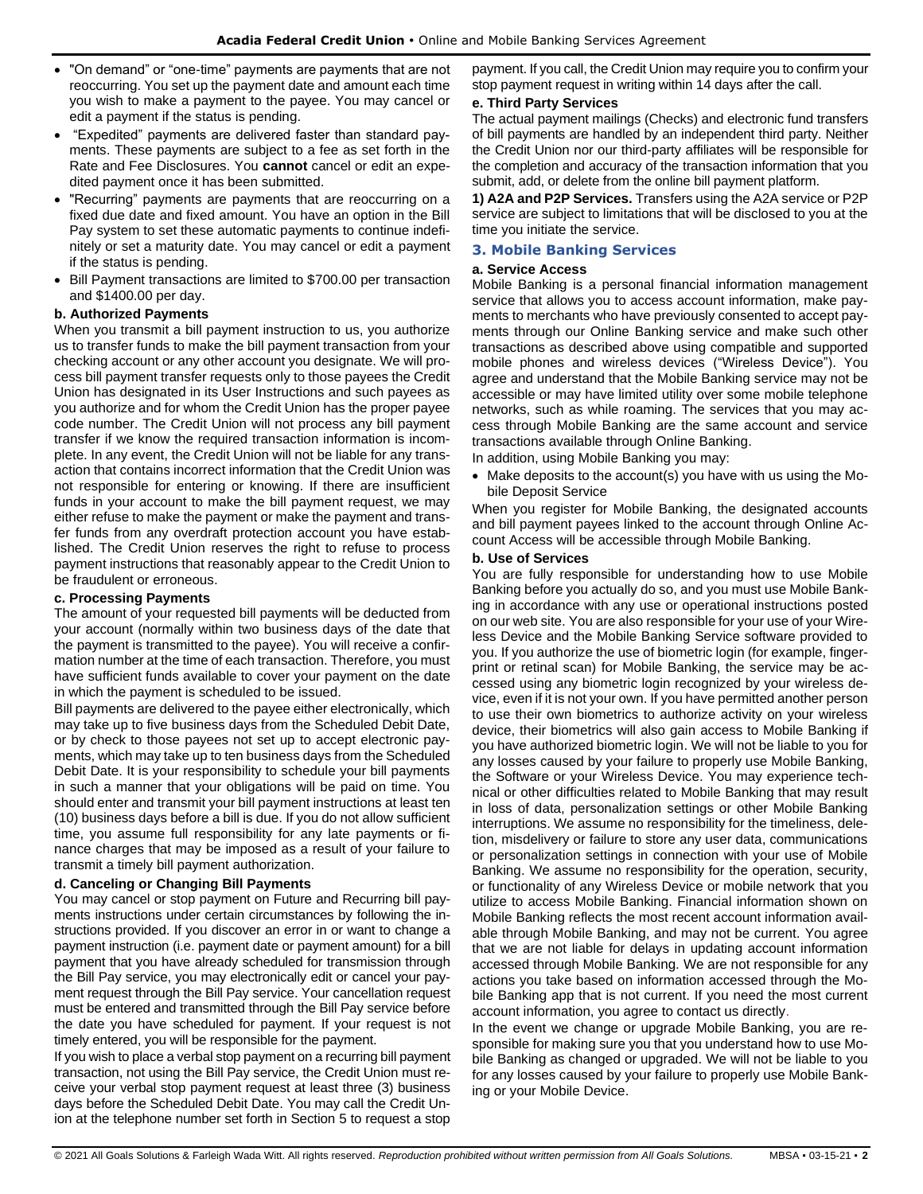- "On demand" or "one-time" payments are payments that are not reoccurring. You set up the payment date and amount each time you wish to make a payment to the payee. You may cancel or edit a payment if the status is pending.
- "Expedited" payments are delivered faster than standard payments. These payments are subject to a fee as set forth in the Rate and Fee Disclosures. You **cannot** cancel or edit an expedited payment once it has been submitted.
- "Recurring" payments are payments that are reoccurring on a fixed due date and fixed amount. You have an option in the Bill Pay system to set these automatic payments to continue indefinitely or set a maturity date. You may cancel or edit a payment if the status is pending.
- Bill Payment transactions are limited to \$700.00 per transaction and \$1400.00 per day.

# **b. Authorized Payments**

When you transmit a bill payment instruction to us, you authorize us to transfer funds to make the bill payment transaction from your checking account or any other account you designate. We will process bill payment transfer requests only to those payees the Credit Union has designated in its User Instructions and such payees as you authorize and for whom the Credit Union has the proper payee code number. The Credit Union will not process any bill payment transfer if we know the required transaction information is incomplete. In any event, the Credit Union will not be liable for any transaction that contains incorrect information that the Credit Union was not responsible for entering or knowing. If there are insufficient funds in your account to make the bill payment request, we may either refuse to make the payment or make the payment and transfer funds from any overdraft protection account you have established. The Credit Union reserves the right to refuse to process payment instructions that reasonably appear to the Credit Union to be fraudulent or erroneous.

# **c. Processing Payments**

The amount of your requested bill payments will be deducted from your account (normally within two business days of the date that the payment is transmitted to the payee). You will receive a confirmation number at the time of each transaction. Therefore, you must have sufficient funds available to cover your payment on the date in which the payment is scheduled to be issued.

Bill payments are delivered to the payee either electronically, which may take up to five business days from the Scheduled Debit Date, or by check to those payees not set up to accept electronic payments, which may take up to ten business days from the Scheduled Debit Date. It is your responsibility to schedule your bill payments in such a manner that your obligations will be paid on time. You should enter and transmit your bill payment instructions at least ten (10) business days before a bill is due. If you do not allow sufficient time, you assume full responsibility for any late payments or finance charges that may be imposed as a result of your failure to transmit a timely bill payment authorization.

# **d. Canceling or Changing Bill Payments**

You may cancel or stop payment on Future and Recurring bill payments instructions under certain circumstances by following the instructions provided. If you discover an error in or want to change a payment instruction (i.e. payment date or payment amount) for a bill payment that you have already scheduled for transmission through the Bill Pay service, you may electronically edit or cancel your payment request through the Bill Pay service. Your cancellation request must be entered and transmitted through the Bill Pay service before the date you have scheduled for payment. If your request is not timely entered, you will be responsible for the payment.

If you wish to place a verbal stop payment on a recurring bill payment transaction, not using the Bill Pay service, the Credit Union must receive your verbal stop payment request at least three (3) business days before the Scheduled Debit Date. You may call the Credit Union at the telephone number set forth in Section 5 to request a stop payment. If you call, the Credit Union may require you to confirm your stop payment request in writing within 14 days after the call.

# **e. Third Party Services**

The actual payment mailings (Checks) and electronic fund transfers of bill payments are handled by an independent third party. Neither the Credit Union nor our third-party affiliates will be responsible for the completion and accuracy of the transaction information that you submit, add, or delete from the online bill payment platform.

**1) A2A and P2P Services.** Transfers using the A2A service or P2P service are subject to limitations that will be disclosed to you at the time you initiate the service.

# **3. Mobile Banking Services**

#### **a. Service Access**

Mobile Banking is a personal financial information management service that allows you to access account information, make payments to merchants who have previously consented to accept payments through our Online Banking service and make such other transactions as described above using compatible and supported mobile phones and wireless devices ("Wireless Device"). You agree and understand that the Mobile Banking service may not be accessible or may have limited utility over some mobile telephone networks, such as while roaming. The services that you may access through Mobile Banking are the same account and service transactions available through Online Banking.

In addition, using Mobile Banking you may:

• Make deposits to the account(s) you have with us using the Mobile Deposit Service

When you register for Mobile Banking, the designated accounts and bill payment payees linked to the account through Online Account Access will be accessible through Mobile Banking.

#### **b. Use of Services**

You are fully responsible for understanding how to use Mobile Banking before you actually do so, and you must use Mobile Banking in accordance with any use or operational instructions posted on our web site. You are also responsible for your use of your Wireless Device and the Mobile Banking Service software provided to you. If you authorize the use of biometric login (for example, fingerprint or retinal scan) for Mobile Banking, the service may be accessed using any biometric login recognized by your wireless device, even if it is not your own. If you have permitted another person to use their own biometrics to authorize activity on your wireless device, their biometrics will also gain access to Mobile Banking if you have authorized biometric login. We will not be liable to you for any losses caused by your failure to properly use Mobile Banking, the Software or your Wireless Device. You may experience technical or other difficulties related to Mobile Banking that may result in loss of data, personalization settings or other Mobile Banking interruptions. We assume no responsibility for the timeliness, deletion, misdelivery or failure to store any user data, communications or personalization settings in connection with your use of Mobile Banking. We assume no responsibility for the operation, security, or functionality of any Wireless Device or mobile network that you utilize to access Mobile Banking. Financial information shown on Mobile Banking reflects the most recent account information available through Mobile Banking, and may not be current. You agree that we are not liable for delays in updating account information accessed through Mobile Banking. We are not responsible for any actions you take based on information accessed through the Mobile Banking app that is not current. If you need the most current account information, you agree to contact us directly.

In the event we change or upgrade Mobile Banking, you are responsible for making sure you that you understand how to use Mobile Banking as changed or upgraded. We will not be liable to you for any losses caused by your failure to properly use Mobile Banking or your Mobile Device.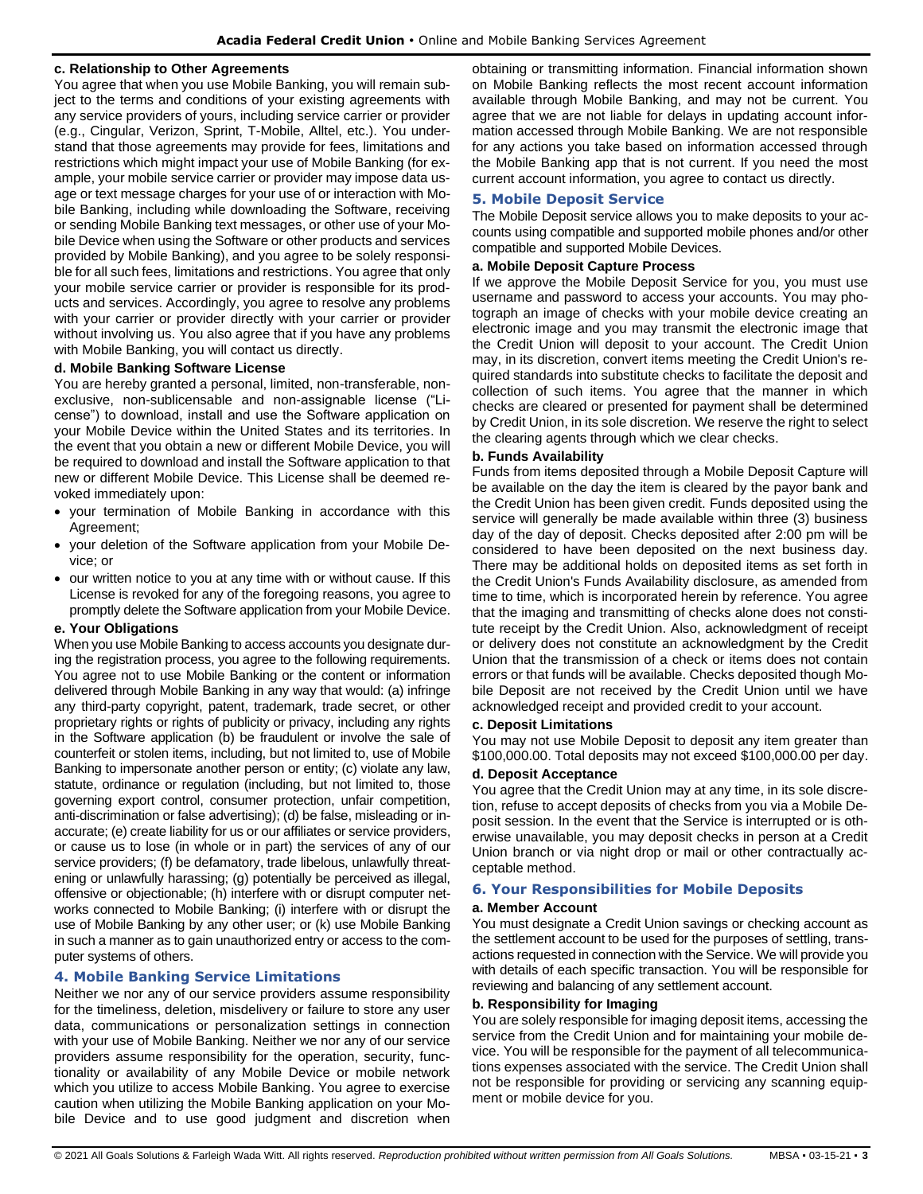#### **c. Relationship to Other Agreements**

You agree that when you use Mobile Banking, you will remain subject to the terms and conditions of your existing agreements with any service providers of yours, including service carrier or provider (e.g., Cingular, Verizon, Sprint, T-Mobile, Alltel, etc.). You understand that those agreements may provide for fees, limitations and restrictions which might impact your use of Mobile Banking (for example, your mobile service carrier or provider may impose data usage or text message charges for your use of or interaction with Mobile Banking, including while downloading the Software, receiving or sending Mobile Banking text messages, or other use of your Mobile Device when using the Software or other products and services provided by Mobile Banking), and you agree to be solely responsible for all such fees, limitations and restrictions. You agree that only your mobile service carrier or provider is responsible for its products and services. Accordingly, you agree to resolve any problems with your carrier or provider directly with your carrier or provider without involving us. You also agree that if you have any problems with Mobile Banking, you will contact us directly.

#### **d. Mobile Banking Software License**

You are hereby granted a personal, limited, non-transferable, nonexclusive, non-sublicensable and non-assignable license ("License") to download, install and use the Software application on your Mobile Device within the United States and its territories. In the event that you obtain a new or different Mobile Device, you will be required to download and install the Software application to that new or different Mobile Device. This License shall be deemed revoked immediately upon:

- your termination of Mobile Banking in accordance with this Agreement;
- your deletion of the Software application from your Mobile Device; or
- our written notice to you at any time with or without cause. If this License is revoked for any of the foregoing reasons, you agree to promptly delete the Software application from your Mobile Device.

#### **e. Your Obligations**

When you use Mobile Banking to access accounts you designate during the registration process, you agree to the following requirements. You agree not to use Mobile Banking or the content or information delivered through Mobile Banking in any way that would: (a) infringe any third-party copyright, patent, trademark, trade secret, or other proprietary rights or rights of publicity or privacy, including any rights in the Software application (b) be fraudulent or involve the sale of counterfeit or stolen items, including, but not limited to, use of Mobile Banking to impersonate another person or entity; (c) violate any law, statute, ordinance or regulation (including, but not limited to, those governing export control, consumer protection, unfair competition, anti-discrimination or false advertising); (d) be false, misleading or inaccurate; (e) create liability for us or our affiliates or service providers, or cause us to lose (in whole or in part) the services of any of our service providers; (f) be defamatory, trade libelous, unlawfully threatening or unlawfully harassing; (g) potentially be perceived as illegal, offensive or objectionable; (h) interfere with or disrupt computer networks connected to Mobile Banking; (i) interfere with or disrupt the use of Mobile Banking by any other user; or (k) use Mobile Banking in such a manner as to gain unauthorized entry or access to the computer systems of others.

# **4. Mobile Banking Service Limitations**

Neither we nor any of our service providers assume responsibility for the timeliness, deletion, misdelivery or failure to store any user data, communications or personalization settings in connection with your use of Mobile Banking. Neither we nor any of our service providers assume responsibility for the operation, security, functionality or availability of any Mobile Device or mobile network which you utilize to access Mobile Banking. You agree to exercise caution when utilizing the Mobile Banking application on your Mobile Device and to use good judgment and discretion when obtaining or transmitting information. Financial information shown on Mobile Banking reflects the most recent account information available through Mobile Banking, and may not be current. You agree that we are not liable for delays in updating account information accessed through Mobile Banking. We are not responsible for any actions you take based on information accessed through the Mobile Banking app that is not current. If you need the most current account information, you agree to contact us directly.

# **5. Mobile Deposit Service**

The Mobile Deposit service allows you to make deposits to your accounts using compatible and supported mobile phones and/or other compatible and supported Mobile Devices.

# **a. Mobile Deposit Capture Process**

If we approve the Mobile Deposit Service for you, you must use username and password to access your accounts. You may photograph an image of checks with your mobile device creating an electronic image and you may transmit the electronic image that the Credit Union will deposit to your account. The Credit Union may, in its discretion, convert items meeting the Credit Union's required standards into substitute checks to facilitate the deposit and collection of such items. You agree that the manner in which checks are cleared or presented for payment shall be determined by Credit Union, in its sole discretion. We reserve the right to select the clearing agents through which we clear checks.

#### **b. Funds Availability**

Funds from items deposited through a Mobile Deposit Capture will be available on the day the item is cleared by the payor bank and the Credit Union has been given credit. Funds deposited using the service will generally be made available within three (3) business day of the day of deposit. Checks deposited after 2:00 pm will be considered to have been deposited on the next business day. There may be additional holds on deposited items as set forth in the Credit Union's Funds Availability disclosure, as amended from time to time, which is incorporated herein by reference. You agree that the imaging and transmitting of checks alone does not constitute receipt by the Credit Union. Also, acknowledgment of receipt or delivery does not constitute an acknowledgment by the Credit Union that the transmission of a check or items does not contain errors or that funds will be available. Checks deposited though Mobile Deposit are not received by the Credit Union until we have acknowledged receipt and provided credit to your account.

#### **c. Deposit Limitations**

You may not use Mobile Deposit to deposit any item greater than \$100,000.00. Total deposits may not exceed \$100,000.00 per day.

#### **d. Deposit Acceptance**

You agree that the Credit Union may at any time, in its sole discretion, refuse to accept deposits of checks from you via a Mobile Deposit session. In the event that the Service is interrupted or is otherwise unavailable, you may deposit checks in person at a Credit Union branch or via night drop or mail or other contractually acceptable method.

# **6. Your Responsibilities for Mobile Deposits**

#### **a. Member Account**

You must designate a Credit Union savings or checking account as the settlement account to be used for the purposes of settling, transactions requested in connection with the Service. We will provide you with details of each specific transaction. You will be responsible for reviewing and balancing of any settlement account.

# **b. Responsibility for Imaging**

You are solely responsible for imaging deposit items, accessing the service from the Credit Union and for maintaining your mobile device. You will be responsible for the payment of all telecommunications expenses associated with the service. The Credit Union shall not be responsible for providing or servicing any scanning equipment or mobile device for you.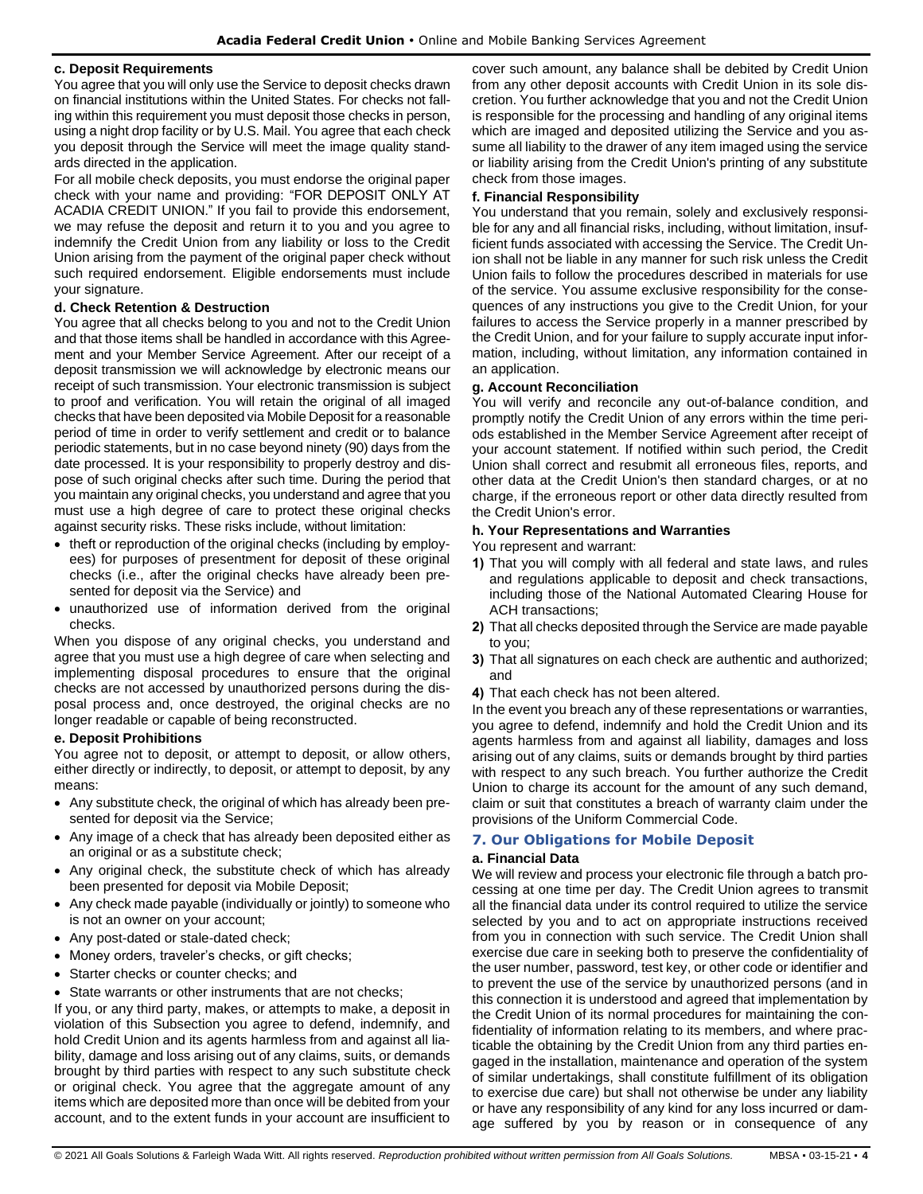#### **c. Deposit Requirements**

You agree that you will only use the Service to deposit checks drawn on financial institutions within the United States. For checks not falling within this requirement you must deposit those checks in person, using a night drop facility or by U.S. Mail. You agree that each check you deposit through the Service will meet the image quality standards directed in the application.

For all mobile check deposits, you must endorse the original paper check with your name and providing: "FOR DEPOSIT ONLY AT ACADIA CREDIT UNION." If you fail to provide this endorsement, we may refuse the deposit and return it to you and you agree to indemnify the Credit Union from any liability or loss to the Credit Union arising from the payment of the original paper check without such required endorsement. Eligible endorsements must include your signature.

# **d. Check Retention & Destruction**

You agree that all checks belong to you and not to the Credit Union and that those items shall be handled in accordance with this Agreement and your Member Service Agreement. After our receipt of a deposit transmission we will acknowledge by electronic means our receipt of such transmission. Your electronic transmission is subject to proof and verification. You will retain the original of all imaged checks that have been deposited via Mobile Deposit for a reasonable period of time in order to verify settlement and credit or to balance periodic statements, but in no case beyond ninety (90) days from the date processed. It is your responsibility to properly destroy and dispose of such original checks after such time. During the period that you maintain any original checks, you understand and agree that you must use a high degree of care to protect these original checks against security risks. These risks include, without limitation:

- theft or reproduction of the original checks (including by employees) for purposes of presentment for deposit of these original checks (i.e., after the original checks have already been presented for deposit via the Service) and
- unauthorized use of information derived from the original checks.

When you dispose of any original checks, you understand and agree that you must use a high degree of care when selecting and implementing disposal procedures to ensure that the original checks are not accessed by unauthorized persons during the disposal process and, once destroyed, the original checks are no longer readable or capable of being reconstructed.

# **e. Deposit Prohibitions**

You agree not to deposit, or attempt to deposit, or allow others, either directly or indirectly, to deposit, or attempt to deposit, by any means:

- Any substitute check, the original of which has already been presented for deposit via the Service;
- Any image of a check that has already been deposited either as an original or as a substitute check;
- Any original check, the substitute check of which has already been presented for deposit via Mobile Deposit;
- Any check made payable (individually or jointly) to someone who is not an owner on your account;
- Any post-dated or stale-dated check;
- Money orders, traveler's checks, or gift checks;
- Starter checks or counter checks; and
- State warrants or other instruments that are not checks;

If you, or any third party, makes, or attempts to make, a deposit in violation of this Subsection you agree to defend, indemnify, and hold Credit Union and its agents harmless from and against all liability, damage and loss arising out of any claims, suits, or demands brought by third parties with respect to any such substitute check or original check. You agree that the aggregate amount of any items which are deposited more than once will be debited from your account, and to the extent funds in your account are insufficient to cover such amount, any balance shall be debited by Credit Union from any other deposit accounts with Credit Union in its sole discretion. You further acknowledge that you and not the Credit Union is responsible for the processing and handling of any original items which are imaged and deposited utilizing the Service and you assume all liability to the drawer of any item imaged using the service or liability arising from the Credit Union's printing of any substitute check from those images.

# **f. Financial Responsibility**

You understand that you remain, solely and exclusively responsible for any and all financial risks, including, without limitation, insufficient funds associated with accessing the Service. The Credit Union shall not be liable in any manner for such risk unless the Credit Union fails to follow the procedures described in materials for use of the service. You assume exclusive responsibility for the consequences of any instructions you give to the Credit Union, for your failures to access the Service properly in a manner prescribed by the Credit Union, and for your failure to supply accurate input information, including, without limitation, any information contained in an application.

# **g. Account Reconciliation**

You will verify and reconcile any out-of-balance condition, and promptly notify the Credit Union of any errors within the time periods established in the Member Service Agreement after receipt of your account statement. If notified within such period, the Credit Union shall correct and resubmit all erroneous files, reports, and other data at the Credit Union's then standard charges, or at no charge, if the erroneous report or other data directly resulted from the Credit Union's error.

#### **h. Your Representations and Warranties**

You represent and warrant:

- **1)** That you will comply with all federal and state laws, and rules and regulations applicable to deposit and check transactions, including those of the National Automated Clearing House for ACH transactions;
- **2)** That all checks deposited through the Service are made payable to you;
- **3)** That all signatures on each check are authentic and authorized; and
- **4)** That each check has not been altered.

In the event you breach any of these representations or warranties, you agree to defend, indemnify and hold the Credit Union and its agents harmless from and against all liability, damages and loss arising out of any claims, suits or demands brought by third parties with respect to any such breach. You further authorize the Credit Union to charge its account for the amount of any such demand, claim or suit that constitutes a breach of warranty claim under the provisions of the Uniform Commercial Code.

# **7. Our Obligations for Mobile Deposit**

# **a. Financial Data**

We will review and process your electronic file through a batch processing at one time per day. The Credit Union agrees to transmit all the financial data under its control required to utilize the service selected by you and to act on appropriate instructions received from you in connection with such service. The Credit Union shall exercise due care in seeking both to preserve the confidentiality of the user number, password, test key, or other code or identifier and to prevent the use of the service by unauthorized persons (and in this connection it is understood and agreed that implementation by the Credit Union of its normal procedures for maintaining the confidentiality of information relating to its members, and where practicable the obtaining by the Credit Union from any third parties engaged in the installation, maintenance and operation of the system of similar undertakings, shall constitute fulfillment of its obligation to exercise due care) but shall not otherwise be under any liability or have any responsibility of any kind for any loss incurred or damage suffered by you by reason or in consequence of any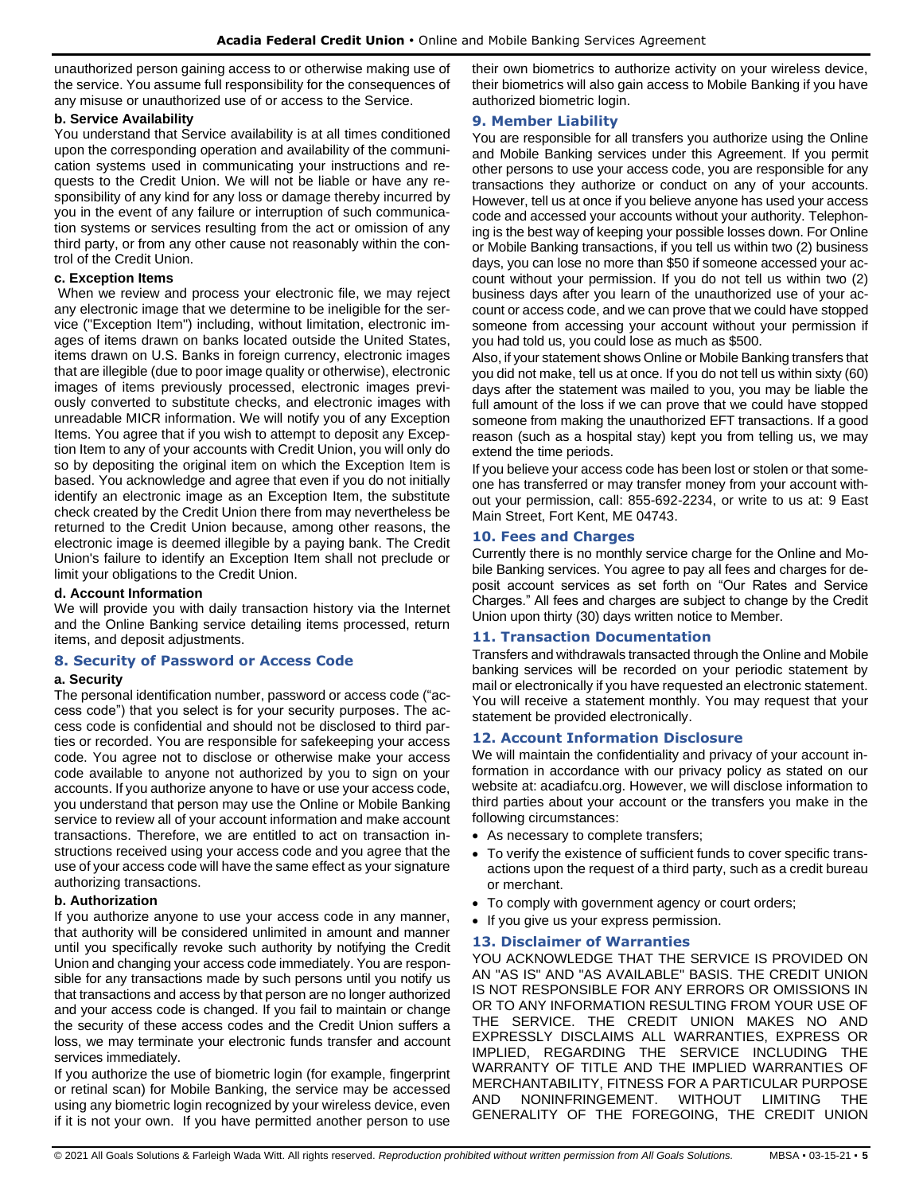unauthorized person gaining access to or otherwise making use of the service. You assume full responsibility for the consequences of any misuse or unauthorized use of or access to the Service.

#### **b. Service Availability**

You understand that Service availability is at all times conditioned upon the corresponding operation and availability of the communication systems used in communicating your instructions and requests to the Credit Union. We will not be liable or have any responsibility of any kind for any loss or damage thereby incurred by you in the event of any failure or interruption of such communication systems or services resulting from the act or omission of any third party, or from any other cause not reasonably within the control of the Credit Union.

# **c. Exception Items**

When we review and process your electronic file, we may reject any electronic image that we determine to be ineligible for the service ("Exception Item") including, without limitation, electronic images of items drawn on banks located outside the United States, items drawn on U.S. Banks in foreign currency, electronic images that are illegible (due to poor image quality or otherwise), electronic images of items previously processed, electronic images previously converted to substitute checks, and electronic images with unreadable MICR information. We will notify you of any Exception Items. You agree that if you wish to attempt to deposit any Exception Item to any of your accounts with Credit Union, you will only do so by depositing the original item on which the Exception Item is based. You acknowledge and agree that even if you do not initially identify an electronic image as an Exception Item, the substitute check created by the Credit Union there from may nevertheless be returned to the Credit Union because, among other reasons, the electronic image is deemed illegible by a paying bank. The Credit Union's failure to identify an Exception Item shall not preclude or limit your obligations to the Credit Union.

#### **d. Account Information**

We will provide you with daily transaction history via the Internet and the Online Banking service detailing items processed, return items, and deposit adjustments.

# **8. Security of Password or Access Code**

#### **a. Security**

The personal identification number, password or access code ("access code") that you select is for your security purposes. The access code is confidential and should not be disclosed to third parties or recorded. You are responsible for safekeeping your access code. You agree not to disclose or otherwise make your access code available to anyone not authorized by you to sign on your accounts. If you authorize anyone to have or use your access code, you understand that person may use the Online or Mobile Banking service to review all of your account information and make account transactions. Therefore, we are entitled to act on transaction instructions received using your access code and you agree that the use of your access code will have the same effect as your signature authorizing transactions.

# **b. Authorization**

If you authorize anyone to use your access code in any manner, that authority will be considered unlimited in amount and manner until you specifically revoke such authority by notifying the Credit Union and changing your access code immediately. You are responsible for any transactions made by such persons until you notify us that transactions and access by that person are no longer authorized and your access code is changed. If you fail to maintain or change the security of these access codes and the Credit Union suffers a loss, we may terminate your electronic funds transfer and account services immediately.

If you authorize the use of biometric login (for example, fingerprint or retinal scan) for Mobile Banking, the service may be accessed using any biometric login recognized by your wireless device, even if it is not your own. If you have permitted another person to use their own biometrics to authorize activity on your wireless device, their biometrics will also gain access to Mobile Banking if you have authorized biometric login.

#### **9. Member Liability**

You are responsible for all transfers you authorize using the Online and Mobile Banking services under this Agreement. If you permit other persons to use your access code, you are responsible for any transactions they authorize or conduct on any of your accounts. However, tell us at once if you believe anyone has used your access code and accessed your accounts without your authority. Telephoning is the best way of keeping your possible losses down. For Online or Mobile Banking transactions, if you tell us within two (2) business days, you can lose no more than \$50 if someone accessed your account without your permission. If you do not tell us within two (2) business days after you learn of the unauthorized use of your account or access code, and we can prove that we could have stopped someone from accessing your account without your permission if you had told us, you could lose as much as \$500.

Also, if your statement shows Online or Mobile Banking transfers that you did not make, tell us at once. If you do not tell us within sixty (60) days after the statement was mailed to you, you may be liable the full amount of the loss if we can prove that we could have stopped someone from making the unauthorized EFT transactions. If a good reason (such as a hospital stay) kept you from telling us, we may extend the time periods.

If you believe your access code has been lost or stolen or that someone has transferred or may transfer money from your account without your permission, call: 855-692-2234, or write to us at: 9 East Main Street, Fort Kent, ME 04743.

# **10. Fees and Charges**

Currently there is no monthly service charge for the Online and Mobile Banking services. You agree to pay all fees and charges for deposit account services as set forth on "Our Rates and Service Charges." All fees and charges are subject to change by the Credit Union upon thirty (30) days written notice to Member.

# **11. Transaction Documentation**

Transfers and withdrawals transacted through the Online and Mobile banking services will be recorded on your periodic statement by mail or electronically if you have requested an electronic statement. You will receive a statement monthly. You may request that your statement be provided electronically.

# **12. Account Information Disclosure**

We will maintain the confidentiality and privacy of your account information in accordance with our privacy policy as stated on our website at: acadiafcu.org. However, we will disclose information to third parties about your account or the transfers you make in the following circumstances:

- As necessary to complete transfers;
- To verify the existence of sufficient funds to cover specific transactions upon the request of a third party, such as a credit bureau or merchant.
- To comply with government agency or court orders;
- If you give us your express permission.

# **13. Disclaimer of Warranties**

YOU ACKNOWLEDGE THAT THE SERVICE IS PROVIDED ON AN "AS IS" AND "AS AVAILABLE" BASIS. THE CREDIT UNION IS NOT RESPONSIBLE FOR ANY ERRORS OR OMISSIONS IN OR TO ANY INFORMATION RESULTING FROM YOUR USE OF THE SERVICE. THE CREDIT UNION MAKES NO AND EXPRESSLY DISCLAIMS ALL WARRANTIES, EXPRESS OR IMPLIED, REGARDING THE SERVICE INCLUDING THE WARRANTY OF TITLE AND THE IMPLIED WARRANTIES OF MERCHANTABILITY, FITNESS FOR A PARTICULAR PURPOSE AND NONINFRINGEMENT. WITHOUT LIMITING THE GENERALITY OF THE FOREGOING, THE CREDIT UNION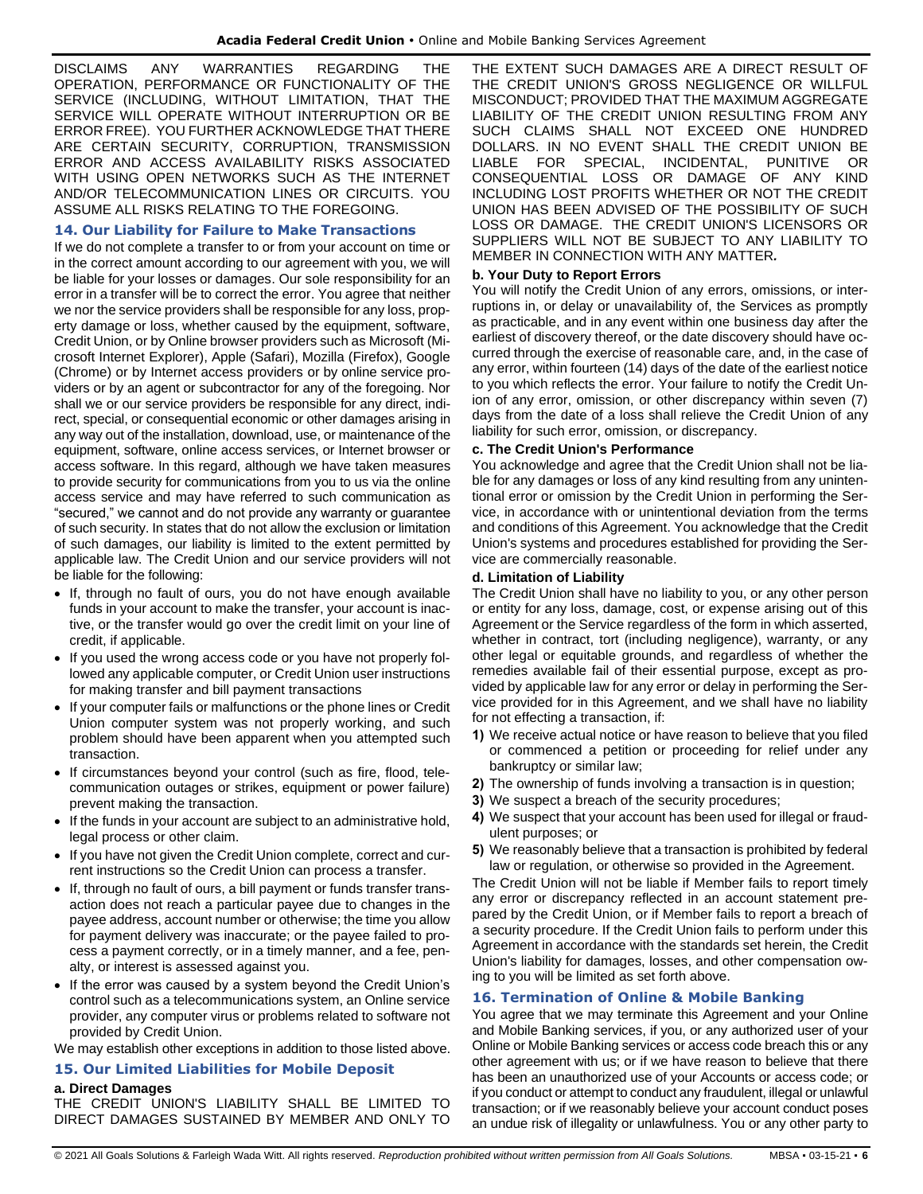DISCLAIMS ANY WARRANTIES REGARDING THE OPERATION, PERFORMANCE OR FUNCTIONALITY OF THE SERVICE (INCLUDING, WITHOUT LIMITATION, THAT THE SERVICE WILL OPERATE WITHOUT INTERRUPTION OR BE ERROR FREE). YOU FURTHER ACKNOWLEDGE THAT THERE ARE CERTAIN SECURITY, CORRUPTION, TRANSMISSION ERROR AND ACCESS AVAILABILITY RISKS ASSOCIATED WITH USING OPEN NETWORKS SUCH AS THE INTERNET AND/OR TELECOMMUNICATION LINES OR CIRCUITS. YOU ASSUME ALL RISKS RELATING TO THE FOREGOING.

#### **14. Our Liability for Failure to Make Transactions**

If we do not complete a transfer to or from your account on time or in the correct amount according to our agreement with you, we will be liable for your losses or damages. Our sole responsibility for an error in a transfer will be to correct the error. You agree that neither we nor the service providers shall be responsible for any loss, property damage or loss, whether caused by the equipment, software, Credit Union, or by Online browser providers such as Microsoft (Microsoft Internet Explorer), Apple (Safari), Mozilla (Firefox), Google (Chrome) or by Internet access providers or by online service providers or by an agent or subcontractor for any of the foregoing. Nor shall we or our service providers be responsible for any direct, indirect, special, or consequential economic or other damages arising in any way out of the installation, download, use, or maintenance of the equipment, software, online access services, or Internet browser or access software. In this regard, although we have taken measures to provide security for communications from you to us via the online access service and may have referred to such communication as "secured," we cannot and do not provide any warranty or guarantee of such security. In states that do not allow the exclusion or limitation of such damages, our liability is limited to the extent permitted by applicable law. The Credit Union and our service providers will not be liable for the following:

- If, through no fault of ours, you do not have enough available funds in your account to make the transfer, your account is inactive, or the transfer would go over the credit limit on your line of credit, if applicable.
- If you used the wrong access code or you have not properly followed any applicable computer, or Credit Union user instructions for making transfer and bill payment transactions
- If your computer fails or malfunctions or the phone lines or Credit Union computer system was not properly working, and such problem should have been apparent when you attempted such transaction.
- If circumstances beyond your control (such as fire, flood, telecommunication outages or strikes, equipment or power failure) prevent making the transaction.
- If the funds in your account are subject to an administrative hold, legal process or other claim.
- If you have not given the Credit Union complete, correct and current instructions so the Credit Union can process a transfer.
- If, through no fault of ours, a bill payment or funds transfer transaction does not reach a particular payee due to changes in the payee address, account number or otherwise; the time you allow for payment delivery was inaccurate; or the payee failed to process a payment correctly, or in a timely manner, and a fee, penalty, or interest is assessed against you.
- If the error was caused by a system beyond the Credit Union's control such as a telecommunications system, an Online service provider, any computer virus or problems related to software not provided by Credit Union.

We may establish other exceptions in addition to those listed above.

# **15. Our Limited Liabilities for Mobile Deposit**

# **a. Direct Damages**

THE CREDIT UNION'S LIABILITY SHALL BE LIMITED TO DIRECT DAMAGES SUSTAINED BY MEMBER AND ONLY TO THE EXTENT SUCH DAMAGES ARE A DIRECT RESULT OF THE CREDIT UNION'S GROSS NEGLIGENCE OR WILLFUL MISCONDUCT; PROVIDED THAT THE MAXIMUM AGGREGATE LIABILITY OF THE CREDIT UNION RESULTING FROM ANY SUCH CLAIMS SHALL NOT EXCEED ONE HUNDRED DOLLARS. IN NO EVENT SHALL THE CREDIT UNION BE LIABLE FOR SPECIAL, INCIDENTAL, PUNITIVE OR CONSEQUENTIAL LOSS OR DAMAGE OF ANY KIND INCLUDING LOST PROFITS WHETHER OR NOT THE CREDIT UNION HAS BEEN ADVISED OF THE POSSIBILITY OF SUCH LOSS OR DAMAGE. THE CREDIT UNION'S LICENSORS OR SUPPLIERS WILL NOT BE SUBJECT TO ANY LIABILITY TO MEMBER IN CONNECTION WITH ANY MATTER*.*

# **b. Your Duty to Report Errors**

You will notify the Credit Union of any errors, omissions, or interruptions in, or delay or unavailability of, the Services as promptly as practicable, and in any event within one business day after the earliest of discovery thereof, or the date discovery should have occurred through the exercise of reasonable care, and, in the case of any error, within fourteen (14) days of the date of the earliest notice to you which reflects the error. Your failure to notify the Credit Union of any error, omission, or other discrepancy within seven (7) days from the date of a loss shall relieve the Credit Union of any liability for such error, omission, or discrepancy.

#### **c. The Credit Union's Performance**

You acknowledge and agree that the Credit Union shall not be liable for any damages or loss of any kind resulting from any unintentional error or omission by the Credit Union in performing the Service, in accordance with or unintentional deviation from the terms and conditions of this Agreement. You acknowledge that the Credit Union's systems and procedures established for providing the Service are commercially reasonable.

#### **d. Limitation of Liability**

The Credit Union shall have no liability to you, or any other person or entity for any loss, damage, cost, or expense arising out of this Agreement or the Service regardless of the form in which asserted, whether in contract, tort (including negligence), warranty, or any other legal or equitable grounds, and regardless of whether the remedies available fail of their essential purpose, except as provided by applicable law for any error or delay in performing the Service provided for in this Agreement, and we shall have no liability for not effecting a transaction, if:

- **1)** We receive actual notice or have reason to believe that you filed or commenced a petition or proceeding for relief under any bankruptcy or similar law;
- **2)** The ownership of funds involving a transaction is in question;
- **3)** We suspect a breach of the security procedures;
- **4)** We suspect that your account has been used for illegal or fraudulent purposes; or
- **5)** We reasonably believe that a transaction is prohibited by federal law or regulation, or otherwise so provided in the Agreement.

The Credit Union will not be liable if Member fails to report timely any error or discrepancy reflected in an account statement prepared by the Credit Union, or if Member fails to report a breach of a security procedure. If the Credit Union fails to perform under this Agreement in accordance with the standards set herein, the Credit Union's liability for damages, losses, and other compensation owing to you will be limited as set forth above.

# **16. Termination of Online & Mobile Banking**

You agree that we may terminate this Agreement and your Online and Mobile Banking services, if you, or any authorized user of your Online or Mobile Banking services or access code breach this or any other agreement with us; or if we have reason to believe that there has been an unauthorized use of your Accounts or access code; or if you conduct or attempt to conduct any fraudulent, illegal or unlawful transaction; or if we reasonably believe your account conduct poses an undue risk of illegality or unlawfulness. You or any other party to